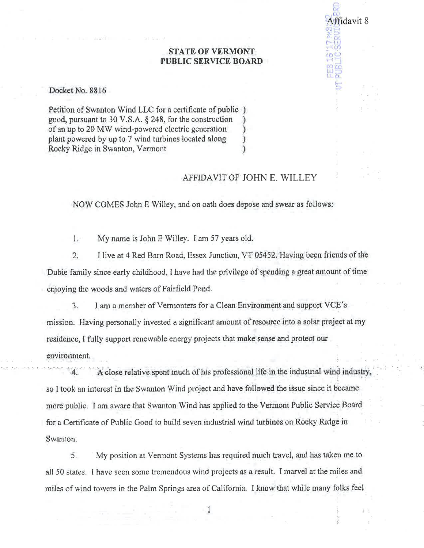## **STATE OF VERMONT** PUBLIC SERVICE BOARD

Docket No. 8816

Petition of Swanton Wind LLC for a certificate of public) good, pursuant to 30 V.S.A. § 248, for the construction of an up to 20 MW wind-powered electric generation plant powered by up to 7 wind turbines located along € Rocky Ridge in Swanton, Vermont ĭ

## AFFIDAVIT OF JOHN E. WILLEY

Affidavit 8

NOW COMES John E Willey, and on oath does depose and swear as follows:

 $1.$ My name is John E Willey. I am 57 years old.

 $2.$ I live at 4 Red Barn Road, Essex Junction, VT 05452. Having been friends of the Dubie family since early childhood, I have had the privilege of spending a great amount of time enjoying the woods and waters of Fairfield Pond.

I am a member of Vermonters for a Clean Environment and support VCE's  $3.$ mission. Having personally invested a significant amount of resource into a solar project at my residence. I fully support renewable energy projects that make sense and protect our environment.

A close relative spent much of his professional life in the industrial wind industry so I took an interest in the Swanton Wind project and have followed the issue since it became more public. I am aware that Swanton Wind has applied to the Vermont Public Service Board for a Certificate of Public Good to build seven industrial wind turbines on Rocky Ridge in Swanton.

My position at Vermont Systems has required much travel, and has taken me to 5. all 50 states. I have seen some tremendous wind projects as a result. I marvel at the miles and miles of wind towers in the Palm Springs area of California. I know that while many folks feel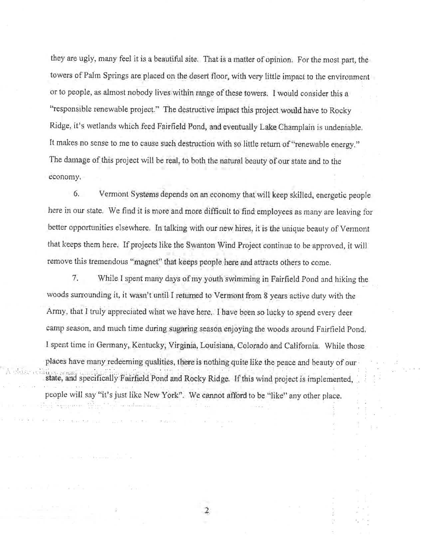they are ugly, many feel it is a beautiful site. That is a matter of opinion. For the most part, the towers of Palm Springs are placed on the desert floor, with very little impact to the environment or to people, as almost nobody lives within range of these towers. I would consider this a "responsible renewable project." The destructive impact this project would have to Rocky Ridge, it's wetlands which feed Fairfield Pond, and eventually Lake Champlain is undeniable. It makes no sense to me to cause such destruction with so little return of "renewable energy." The damage of this project will be real, to both the natural beauty of our state and to the economy.

6. Vermont Systems depends on an economy that will keep skilled, energetic people here in our state. We find it is more and more difficult to find employees as many are leaving for better opportunities elsewhere. In talking with our new hires, it is the unique beauty of Vermont that keeps them here. If projects like the Swanton Wind Project continue to be approved, it will remove this tremendous "magnet" that keeps people here and attracts others to come.

7. While I spent many days of my youth swimming in Fairfield Pond and hiking the woods surrounding it, it wasn't until I returned to Vermont from 8 years active duty with the Army, that I truly appreciated what we have here. I have been so lucky to spend every deer camp season, and much time during sugaring season enjoying the woods around Fairfield Pond. I spent time in Germany, Kentucky, Virginia, Louisiana, Colorado and California. While those places have many redeeming qualities, there is nothing quite like the peace and beauty of our state, and specifically Fairfield Pond and Rocky Ridge. If this wind project is implemented, people will say "it's just like New York". We cannot afford to be "like" any other place.

2